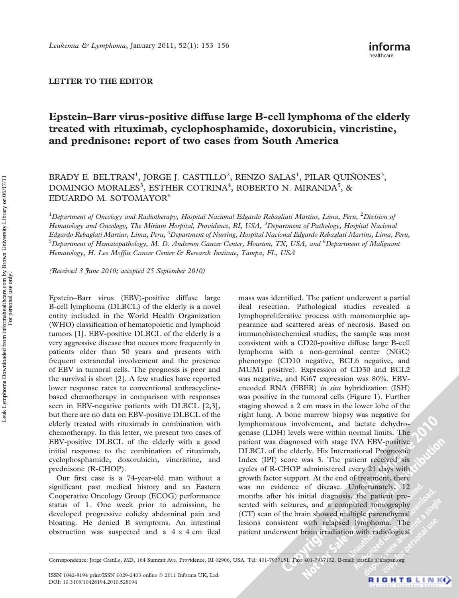## LETTER TO THE EDITOR

## Epstein–Barr virus-positive diffuse large B-cell lymphoma of the elderly treated with rituximab, cyclophosphamide, doxorubicin, vincristine, and prednisone: report of two cases from South America

BRADY E. BELTRAN<sup>1</sup>, JORGE J. CASTILLO<sup>2</sup>, RENZO SALAS<sup>1</sup>, PILAR QUIÑONES<sup>3</sup>, DOMINGO MORALES<sup>3</sup>, ESTHER COTRINA<sup>4</sup>, ROBERTO N. MIRANDA<sup>5</sup>, & EDUARDO M. SOTOMAYOR<sup>6</sup>

<sup>1</sup>Department of Oncology and Radiotherapy, Hospital Nacional Edgardo Rebagliati Martins, Lima, Peru, <sup>2</sup>Division of Hematology and Oncology, The Miriam Hospital, Providence, RI, USA, <sup>3</sup>Department of Pathology, Hospital Nacional Edgardo Rebaglati Martins, Lima, Peru, <sup>4</sup>Department of Nursing, Hospital Nacional Edgardo Rebaglati Martins, Lima, Peru, <sup>5</sup>Department of Hematopathology, M. D. Anderson Cancer Center, Houston, TX, USA, and <sup>6</sup>Department of Malignani Hematology, H. Lee Moffitt Cancer Center & Research Institute, Tampa, FL, USA

(Received 3 June 2010; accepted 25 September 2010)

Epstein–Barr virus (EBV)-positive diffuse large B-cell lymphoma (DLBCL) of the elderly is a novel entity included in the World Health Organization (WHO) classification of hematopoietic and lymphoid tumors [1]. EBV-positive DLBCL of the elderly is a very aggressive disease that occurs more frequently in patients older than 50 years and presents with frequent extranodal involvement and the presence of EBV in tumoral cells. The prognosis is poor and the survival is short [2]. A few studies have reported lower response rates to conventional anthracyclinebased chemotherapy in comparison with responses seen in EBV-negative patients with DLBCL [2,3], but there are no data on EBV-positive DLBCL of the elderly treated with rituximab in combination with chemotherapy. In this letter, we present two cases of EBV-positive DLBCL of the elderly with a good initial response to the combination of rituximab, cyclophosphamide, doxorubicin, vincristine, and prednisone (R-CHOP).

Our first case is a 74-year-old man without a significant past medical history and an Eastern Cooperative Oncology Group (ECOG) performance status of 1. One week prior to admission, he developed progressive colicky abdominal pain and bloating. He denied B symptoms. An intestinal obstruction was suspected and a  $4 \times 4$  cm ileal

mass was identified. The patient underwent a partial ileal resection. Pathological studies revealed a lymphoproliferative process with monomorphic appearance and scattered areas of necrosis. Based on immunohistochemical studies, the sample was most consistent with a CD20-positive diffuse large B-cell lymphoma with a non-germinal center (NGC) phenotype (CD10 negative, BCL6 negative, and MUM1 positive). Expression of CD30 and BCL2 was negative, and Ki67 expression was 80%. EBVencoded RNA (EBER) in situ hybridization (ISH) was positive in the tumoral cells (Figure 1). Further staging showed a 2 cm mass in the lower lobe of the right lung. A bone marrow biopsy was negative for lymphomatous involvement, and lactate dehydrogenase (LDH) levels were within normal limits. The patient was diagnosed with stage IVA EBV-positive DLBCL of the elderly. His International Prognostic Index (IPI) score was 3. The patient received six cycles of R-CHOP administered every 21 days with growth factor support. At the end of treatment, there was no evidence of disease. Unfortunately, 12 months after his initial diagnosis, the patient presented with seizures, and a computed tomography (CT) scan of the brain showed multiple parenchymal lesions consistent with relapsed lymphoma. The patient underwent brain irradiation with radiological

Correspondence: Jorge Castillo, MD, 164 Summit Ave, Providence, RI 02906, USA. Tel: 401-7937151. Fax: 401-7937132. E-mail: jcastillo@lifespan.org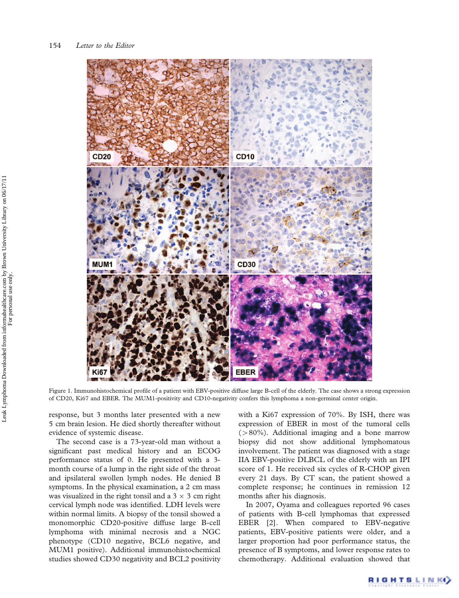

Figure 1. Immunohistochemical profile of a patient with EBV-positive diffuse large B-cell of the elderly. The case shows a strong expression of CD20, Ki67 and EBER. The MUM1-positivity and CD10-negativity confers this lymphoma a non-germinal center origin.

response, but 3 months later presented with a new 5 cm brain lesion. He died shortly thereafter without evidence of systemic disease.

The second case is a 73-year-old man without a significant past medical history and an ECOG performance status of 0. He presented with a 3 month course of a lump in the right side of the throat and ipsilateral swollen lymph nodes. He denied B symptoms. In the physical examination, a 2 cm mass was visualized in the right tonsil and a  $3 \times 3$  cm right cervical lymph node was identified. LDH levels were within normal limits. A biopsy of the tonsil showed a monomorphic CD20-positive diffuse large B-cell lymphoma with minimal necrosis and a NGC phenotype (CD10 negative, BCL6 negative, and MUM1 positive). Additional immunohistochemical studies showed CD30 negativity and BCL2 positivity

with a Ki67 expression of 70%. By ISH, there was expression of EBER in most of the tumoral cells  $(>80\%)$ . Additional imaging and a bone marrow biopsy did not show additional lymphomatous involvement. The patient was diagnosed with a stage IIA EBV-positive DLBCL of the elderly with an IPI score of 1. He received six cycles of R-CHOP given every 21 days. By CT scan, the patient showed a complete response; he continues in remission 12 months after his diagnosis.

In 2007, Oyama and colleagues reported 96 cases of patients with B-cell lymphomas that expressed EBER [2]. When compared to EBV-negative patients, EBV-positive patients were older, and a larger proportion had poor performance status, the presence of B symptoms, and lower response rates to chemotherapy. Additional evaluation showed that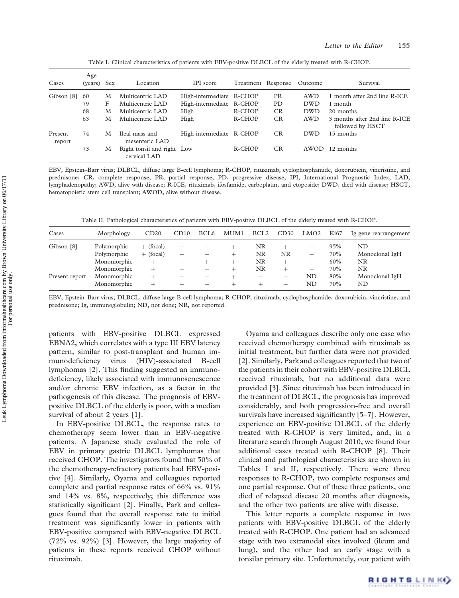| Cases             | Age<br>(years) | Sex | Location                                   | IPI score                | Treatment Response |           | Outcome    | Survival                                          |
|-------------------|----------------|-----|--------------------------------------------|--------------------------|--------------------|-----------|------------|---------------------------------------------------|
| Gibson [8]        | 60             | M   | Multicentric LAD                           | High-intermediate R-CHOP |                    | <b>PR</b> | AWD        | 1 month after 2nd line R-ICE                      |
|                   | 79             | F   | Multicentric LAD                           | High-intermediate R-CHOP |                    | PD.       | <b>DWD</b> | 1 month                                           |
|                   | 68             | M   | Multicentric LAD                           | High                     | R-CHOP             | CR        | <b>DWD</b> | 20 months                                         |
|                   | 63             | M   | Multicentric LAD                           | High                     | R-CHOP             | <b>CR</b> | <b>AWD</b> | 3 months after 2nd line R-ICE<br>followed by HSCT |
| Present<br>report | 74             | M   | Ileal mass and<br>mesenteric LAD           | High-intermediate R-CHOP |                    | <b>CR</b> | DWD        | 15 months                                         |
|                   | 73             | M   | Right tonsil and right Low<br>cervical LAD |                          | R-CHOP             | CR.       | AWOD       | 12 months                                         |

Table I. Clinical characteristics of patients with EBV-positive DLBCL of the elderly treated with R-CHOP.

EBV, Epstein–Barr virus; DLBCL, diffuse large B-cell lymphoma; R-CHOP, rituximab, cyclophosphamide, doxorubicin, vincristine, and prednisone; CR, complete response; PR, partial response; PD, progressive disease; IPI, International Prognostic Index; LAD, lymphadenopathy; AWD, alive with disease; R-ICE, rituximab, ifosfamide, carboplatin, and etoposide; DWD, died with disease; HSCT, hematopoietic stem cell transplant; AWOD, alive without disease.

Table II. Pathological characteristics of patients with EBV-positive DLBCL of the elderly treated with R-CHOP.

| Cases          | Morphology  | CD20        | CD10                     | BCL <sub>6</sub> | MUM1 | BCL <sub>2</sub> | CD30   | LMO <sub>2</sub>         | <b>Ki67</b> | Ig gene rearrangement |
|----------------|-------------|-------------|--------------------------|------------------|------|------------------|--------|--------------------------|-------------|-----------------------|
| Gibson [8]     | Polymorphic | $+$ (focal) | -                        |                  |      | NR               |        | $\overline{\phantom{0}}$ | 95%         | ND                    |
|                | Polymorphic | $+$ (focal) | $\overline{\phantom{0}}$ |                  | +    | NR               | NR     | —                        | 70%         | Monoclonal IgH        |
|                | Monomorphic | —           | -                        |                  | $\!$ | NR               | ∸      | $\overline{\phantom{m}}$ | 60%         | NR                    |
|                | Monomorphic |             |                          |                  | +    | NR               | $\div$ | $\qquad \qquad -$        | 70%         | NR                    |
| Present report | Monomorphic |             |                          |                  |      |                  | $-$    | ND                       | 80%         | Monoclonal IgH        |
|                | Monomorphic |             |                          |                  | +    |                  |        | ND                       | 70%         | ND                    |

EBV, Epstein–Barr virus; DLBCL, diffuse large B-cell lymphoma; R-CHOP, rituximab, cyclophosphamide, doxorubicin, vincristine, and prednisone; Ig, immunoglobulin; ND, not done; NR, not reported.

patients with EBV-positive DLBCL expressed EBNA2, which correlates with a type III EBV latency pattern, similar to post-transplant and human immunodeficiency virus (HIV)-associated B-cell lymphomas [2]. This finding suggested an immunodeficiency, likely associated with immunosenescence and/or chronic EBV infection, as a factor in the pathogenesis of this disease. The prognosis of EBVpositive DLBCL of the elderly is poor, with a median survival of about 2 years [1].

In EBV-positive DLBCL, the response rates to chemotherapy seem lower than in EBV-negative patients. A Japanese study evaluated the role of EBV in primary gastric DLBCL lymphomas that received CHOP. The investigators found that 50% of the chemotherapy-refractory patients had EBV-positive [4]. Similarly, Oyama and colleagues reported complete and partial response rates of 66% vs. 91% and 14% vs. 8%, respectively; this difference was statistically significant [2]. Finally, Park and colleagues found that the overall response rate to initial treatment was significantly lower in patients with EBV-positive compared with EBV-negative DLBCL (72% vs. 92%) [3]. However, the large majority of patients in these reports received CHOP without rituximab.

Oyama and colleagues describe only one case who received chemotherapy combined with rituximab as initial treatment, but further data were not provided [2]. Similarly, Park and colleagues reported that two of the patients in their cohort with EBV-positive DLBCL received rituximab, but no additional data were provided [3]. Since rituximab has been introduced in the treatment of DLBCL, the prognosis has improved considerably, and both progression-free and overall survivals have increased significantly [5–7]. However, experience on EBV-positive DLBCL of the elderly treated with R-CHOP is very limited, and, in a literature search through August 2010, we found four additional cases treated with R-CHOP [8]. Their clinical and pathological characteristics are shown in Tables I and II, respectively. There were three responses to R-CHOP, two complete responses and one partial response. Out of these three patients, one died of relapsed disease 20 months after diagnosis, and the other two patients are alive with disease.

This letter reports a complete response in two patients with EBV-positive DLBCL of the elderly treated with R-CHOP. One patient had an advanced stage with two extranodal sites involved (ileum and lung), and the other had an early stage with a tonsilar primary site. Unfortunately, our patient with